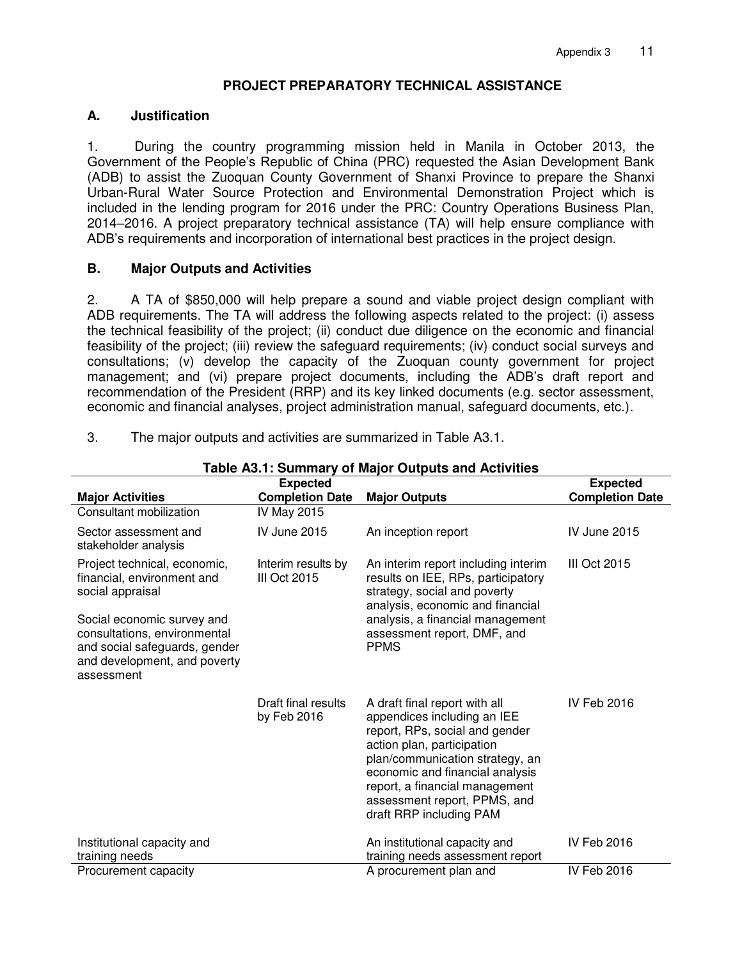# **PROJECT PREPARATORY TECHNICAL ASSISTANCE**

## **A. Justification**

1. During the country programming mission held in Manila in October 2013, the Government of the People's Republic of China (PRC) requested the Asian Development Bank (ADB) to assist the Zuoquan County Government of Shanxi Province to prepare the Shanxi Urban-Rural Water Source Protection and Environmental Demonstration Project which is included in the lending program for 2016 under the PRC: Country Operations Business Plan, 2014–2016. A project preparatory technical assistance (TA) will help ensure compliance with ADB's requirements and incorporation of international best practices in the project design.

## **B. Major Outputs and Activities**

2. A TA of \$850,000 will help prepare a sound and viable project design compliant with ADB requirements. The TA will address the following aspects related to the project: (i) assess the technical feasibility of the project; (ii) conduct due diligence on the economic and financial feasibility of the project; (iii) review the safeguard requirements; (iv) conduct social surveys and consultations; (v) develop the capacity of the Zuoquan county government for project management; and (vi) prepare project documents, including the ADB's draft report and recommendation of the President (RRP) and its key linked documents (e.g. sector assessment, economic and financial analyses, project administration manual, safeguard documents, etc.).

| Table A3.1: Summary of Major Outputs and Activities                                                                                       |                                    |                                                                                                                                                                                                                                                                                                 |                        |  |  |  |  |
|-------------------------------------------------------------------------------------------------------------------------------------------|------------------------------------|-------------------------------------------------------------------------------------------------------------------------------------------------------------------------------------------------------------------------------------------------------------------------------------------------|------------------------|--|--|--|--|
|                                                                                                                                           |                                    | <b>Expected</b>                                                                                                                                                                                                                                                                                 |                        |  |  |  |  |
| <b>Major Activities</b>                                                                                                                   | <b>Completion Date</b>             | <b>Major Outputs</b>                                                                                                                                                                                                                                                                            | <b>Completion Date</b> |  |  |  |  |
| Consultant mobilization                                                                                                                   | IV May 2015                        |                                                                                                                                                                                                                                                                                                 |                        |  |  |  |  |
| Sector assessment and<br>stakeholder analysis                                                                                             | <b>IV June 2015</b>                | An inception report                                                                                                                                                                                                                                                                             | <b>IV June 2015</b>    |  |  |  |  |
| Project technical, economic,<br>financial, environment and<br>social appraisal                                                            | Interim results by<br>III Oct 2015 | An interim report including interim<br>results on IEE, RPs, participatory<br>strategy, social and poverty<br>analysis, economic and financial                                                                                                                                                   | <b>III Oct 2015</b>    |  |  |  |  |
| Social economic survey and<br>consultations, environmental<br>and social safeguards, gender<br>and development, and poverty<br>assessment |                                    | analysis, a financial management<br>assessment report, DMF, and<br><b>PPMS</b>                                                                                                                                                                                                                  |                        |  |  |  |  |
|                                                                                                                                           | Draft final results<br>by Feb 2016 | A draft final report with all<br>appendices including an IEE<br>report, RPs, social and gender<br>action plan, participation<br>plan/communication strategy, an<br>economic and financial analysis<br>report, a financial management<br>assessment report, PPMS, and<br>draft RRP including PAM | IV Feb 2016            |  |  |  |  |
| Institutional capacity and<br>training needs                                                                                              |                                    | An institutional capacity and<br>training needs assessment report                                                                                                                                                                                                                               | IV Feb 2016            |  |  |  |  |
| Procurement capacity                                                                                                                      |                                    | A procurement plan and                                                                                                                                                                                                                                                                          | IV Feb 2016            |  |  |  |  |

3. The major outputs and activities are summarized in Table A3.1.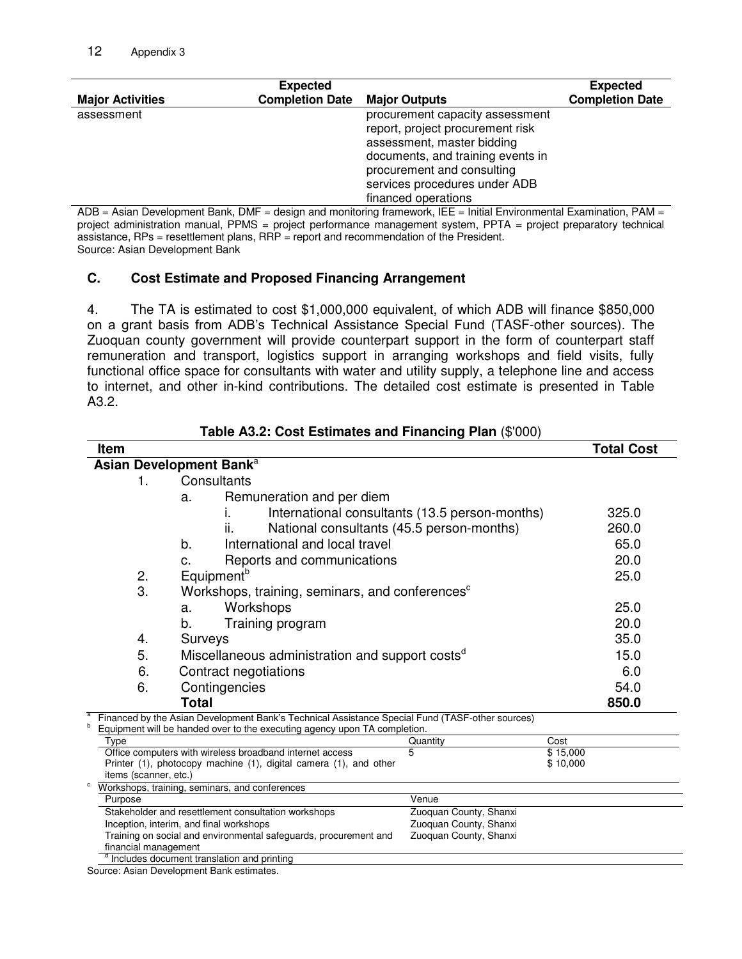|                         | <b>Expected</b>        |                                                                                                                                                                                                                              |                        |
|-------------------------|------------------------|------------------------------------------------------------------------------------------------------------------------------------------------------------------------------------------------------------------------------|------------------------|
| <b>Major Activities</b> | <b>Completion Date</b> | <b>Major Outputs</b>                                                                                                                                                                                                         | <b>Completion Date</b> |
| assessment              |                        | procurement capacity assessment<br>report, project procurement risk<br>assessment, master bidding<br>documents, and training events in<br>procurement and consulting<br>services procedures under ADB<br>financed operations |                        |

ADB = Asian Development Bank, DMF = design and monitoring framework, IEE = Initial Environmental Examination, PAM = project administration manual, PPMS = project performance management system, PPTA = project preparatory technical assistance, RPs = resettlement plans, RRP = report and recommendation of the President. Source: Asian Development Bank

### **C. Cost Estimate and Proposed Financing Arrangement**

4. The TA is estimated to cost \$1,000,000 equivalent, of which ADB will finance \$850,000 on a grant basis from ADB's Technical Assistance Special Fund (TASF-other sources). The Zuoquan county government will provide counterpart support in the form of counterpart staff remuneration and transport, logistics support in arranging workshops and field visits, fully functional office space for consultants with water and utility supply, a telephone line and access to internet, and other in-kind contributions. The detailed cost estimate is presented in Table A3.2.

|                                                                                 | <b>Item</b>                                                                                                                                                                  |                                                                               | <b>Total Cost</b> |  |  |  |
|---------------------------------------------------------------------------------|------------------------------------------------------------------------------------------------------------------------------------------------------------------------------|-------------------------------------------------------------------------------|-------------------|--|--|--|
|                                                                                 | Asian Development Bank <sup>a</sup>                                                                                                                                          |                                                                               |                   |  |  |  |
|                                                                                 | 1.                                                                                                                                                                           | Consultants                                                                   |                   |  |  |  |
|                                                                                 |                                                                                                                                                                              | Remuneration and per diem<br>a.                                               |                   |  |  |  |
|                                                                                 |                                                                                                                                                                              | International consultants (13.5 person-months)                                | 325.0             |  |  |  |
|                                                                                 |                                                                                                                                                                              | ii.<br>National consultants (45.5 person-months)                              | 260.0             |  |  |  |
|                                                                                 |                                                                                                                                                                              | International and local travel<br>b.                                          | 65.0              |  |  |  |
|                                                                                 |                                                                                                                                                                              |                                                                               |                   |  |  |  |
|                                                                                 |                                                                                                                                                                              | Reports and communications<br>C.                                              | 20.0              |  |  |  |
|                                                                                 | 2.                                                                                                                                                                           | Equipment <sup>b</sup>                                                        | 25.0              |  |  |  |
|                                                                                 |                                                                                                                                                                              | 3.<br>Workshops, training, seminars, and conferences <sup>c</sup>             |                   |  |  |  |
|                                                                                 |                                                                                                                                                                              | Workshops<br>a.                                                               | 25.0              |  |  |  |
|                                                                                 |                                                                                                                                                                              | b.<br>Training program                                                        | 20.0              |  |  |  |
|                                                                                 | 4.                                                                                                                                                                           | Surveys                                                                       | 35.0              |  |  |  |
|                                                                                 | 5.                                                                                                                                                                           | Miscellaneous administration and support costs <sup>d</sup>                   | 15.0              |  |  |  |
|                                                                                 | 6.                                                                                                                                                                           | Contract negotiations                                                         | 6.0               |  |  |  |
|                                                                                 | 6.                                                                                                                                                                           | Contingencies                                                                 | 54.0              |  |  |  |
|                                                                                 |                                                                                                                                                                              |                                                                               |                   |  |  |  |
|                                                                                 |                                                                                                                                                                              | <b>Total</b>                                                                  | 850.0             |  |  |  |
| b                                                                               | Financed by the Asian Development Bank's Technical Assistance Special Fund (TASF-other sources)<br>Equipment will be handed over to the executing agency upon TA completion. |                                                                               |                   |  |  |  |
|                                                                                 | Type                                                                                                                                                                         | Quantity                                                                      | Cost              |  |  |  |
|                                                                                 | 5<br>Office computers with wireless broadband internet access                                                                                                                |                                                                               | \$15,000          |  |  |  |
|                                                                                 |                                                                                                                                                                              | Printer (1), photocopy machine (1), digital camera (1), and other             | \$10,000          |  |  |  |
|                                                                                 | items (scanner, etc.)                                                                                                                                                        | Workshops, training, seminars, and conferences                                |                   |  |  |  |
|                                                                                 | Purpose                                                                                                                                                                      | Venue                                                                         |                   |  |  |  |
|                                                                                 |                                                                                                                                                                              | Zuoquan County, Shanxi<br>Stakeholder and resettlement consultation workshops |                   |  |  |  |
|                                                                                 |                                                                                                                                                                              | Inception, interim, and final workshops<br>Zuoquan County, Shanxi             |                   |  |  |  |
|                                                                                 | Training on social and environmental safeguards, procurement and                                                                                                             |                                                                               |                   |  |  |  |
| financial management<br><sup>d</sup> Includes document translation and printing |                                                                                                                                                                              |                                                                               |                   |  |  |  |
|                                                                                 |                                                                                                                                                                              | $\cdot$ $\sim$                                                                |                   |  |  |  |

**Table A3.2: Cost Estimates and Financing Plan** (\$'000)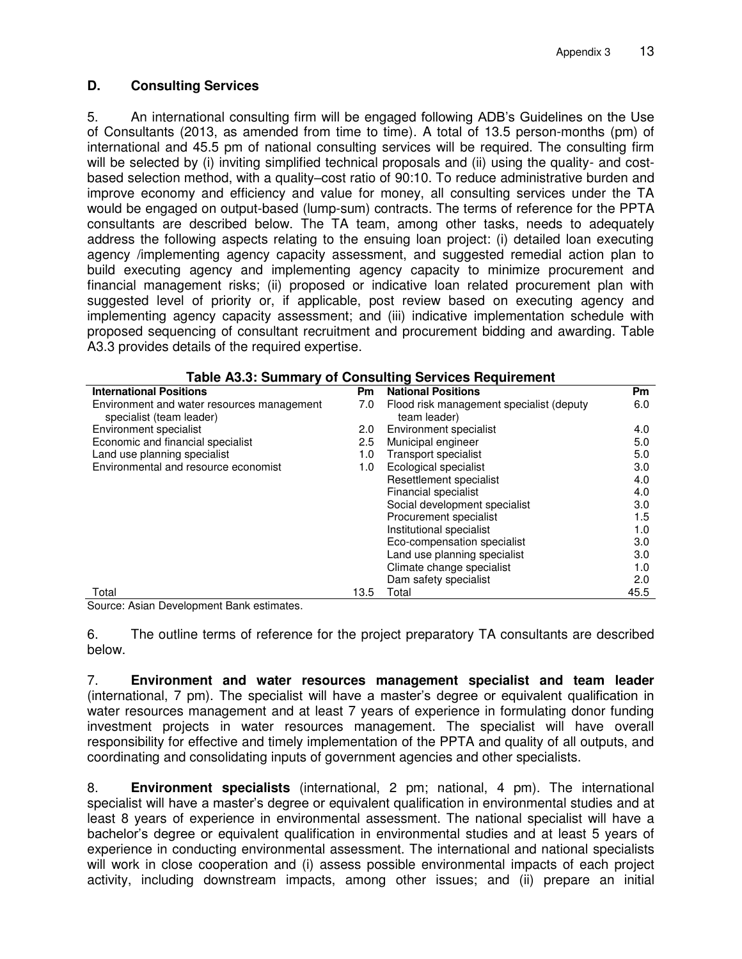# **D. Consulting Services**

5. An international consulting firm will be engaged following ADB's Guidelines on the Use of Consultants (2013, as amended from time to time). A total of 13.5 person-months (pm) of international and 45.5 pm of national consulting services will be required. The consulting firm will be selected by (i) inviting simplified technical proposals and (ii) using the quality- and costbased selection method, with a quality–cost ratio of 90:10. To reduce administrative burden and improve economy and efficiency and value for money, all consulting services under the TA would be engaged on output-based (lump-sum) contracts. The terms of reference for the PPTA consultants are described below. The TA team, among other tasks, needs to adequately address the following aspects relating to the ensuing loan project: (i) detailed loan executing agency /implementing agency capacity assessment, and suggested remedial action plan to build executing agency and implementing agency capacity to minimize procurement and financial management risks; (ii) proposed or indicative loan related procurement plan with suggested level of priority or, if applicable, post review based on executing agency and implementing agency capacity assessment; and (iii) indicative implementation schedule with proposed sequencing of consultant recruitment and procurement bidding and awarding. Table A3.3 provides details of the required expertise.

| <b>Table A3.3: Summary of Consulting Services Requirement</b>          |      |                                                          |           |  |  |  |
|------------------------------------------------------------------------|------|----------------------------------------------------------|-----------|--|--|--|
| <b>International Positions</b>                                         | Pm   | <b>National Positions</b>                                | <b>Pm</b> |  |  |  |
| Environment and water resources management<br>specialist (team leader) | 7.0  | Flood risk management specialist (deputy<br>team leader) | 6.0       |  |  |  |
| Environment specialist                                                 | 2.0  | Environment specialist                                   | 4.0       |  |  |  |
| Economic and financial specialist                                      | 2.5  | Municipal engineer                                       | 5.0       |  |  |  |
| Land use planning specialist                                           | 1.0  | <b>Transport specialist</b>                              | 5.0       |  |  |  |
| Environmental and resource economist                                   | 1.0  | Ecological specialist                                    | 3.0       |  |  |  |
|                                                                        |      | Resettlement specialist                                  | 4.0       |  |  |  |
|                                                                        |      | Financial specialist                                     | 4.0       |  |  |  |
|                                                                        |      | Social development specialist                            | 3.0       |  |  |  |
|                                                                        |      | Procurement specialist                                   | 1.5       |  |  |  |
|                                                                        |      | Institutional specialist                                 | 1.0       |  |  |  |
|                                                                        |      | Eco-compensation specialist                              | 3.0       |  |  |  |
|                                                                        |      | Land use planning specialist                             | 3.0       |  |  |  |
|                                                                        |      | Climate change specialist                                | 1.0       |  |  |  |
|                                                                        |      | Dam safety specialist                                    | 2.0       |  |  |  |
| Total                                                                  | 13.5 | Total                                                    | 45.5      |  |  |  |

Source: Asian Development Bank estimates.

6. The outline terms of reference for the project preparatory TA consultants are described below.

7. **Environment and water resources management specialist and team leader** (international, 7 pm). The specialist will have a master's degree or equivalent qualification in water resources management and at least 7 years of experience in formulating donor funding investment projects in water resources management. The specialist will have overall responsibility for effective and timely implementation of the PPTA and quality of all outputs, and coordinating and consolidating inputs of government agencies and other specialists.

8. **Environment specialists** (international, 2 pm; national, 4 pm). The international specialist will have a master's degree or equivalent qualification in environmental studies and at least 8 years of experience in environmental assessment. The national specialist will have a bachelor's degree or equivalent qualification in environmental studies and at least 5 years of experience in conducting environmental assessment. The international and national specialists will work in close cooperation and (i) assess possible environmental impacts of each project activity, including downstream impacts, among other issues; and (ii) prepare an initial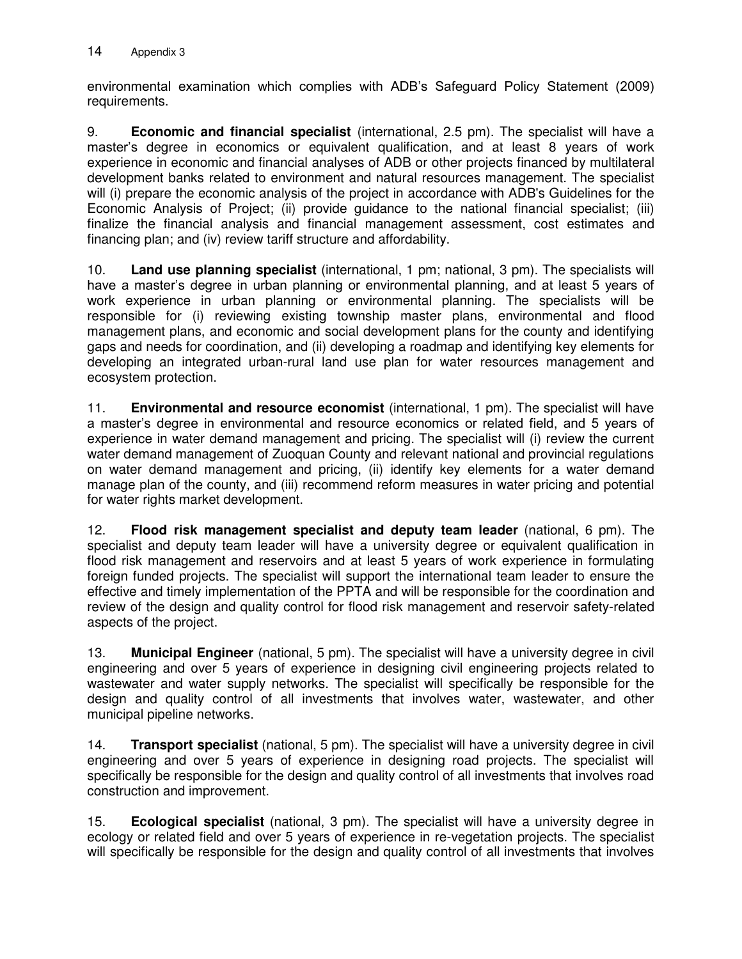environmental examination which complies with ADB's Safeguard Policy Statement (2009) requirements.

9. **Economic and financial specialist** (international, 2.5 pm). The specialist will have a master's degree in economics or equivalent qualification, and at least 8 years of work experience in economic and financial analyses of ADB or other projects financed by multilateral development banks related to environment and natural resources management. The specialist will (i) prepare the economic analysis of the project in accordance with ADB's Guidelines for the Economic Analysis of Project; (ii) provide guidance to the national financial specialist; (iii) finalize the financial analysis and financial management assessment, cost estimates and financing plan; and (iv) review tariff structure and affordability.

10. **Land use planning specialist** (international, 1 pm; national, 3 pm). The specialists will have a master's degree in urban planning or environmental planning, and at least 5 years of work experience in urban planning or environmental planning. The specialists will be responsible for (i) reviewing existing township master plans, environmental and flood management plans, and economic and social development plans for the county and identifying gaps and needs for coordination, and (ii) developing a roadmap and identifying key elements for developing an integrated urban-rural land use plan for water resources management and ecosystem protection.

11. **Environmental and resource economist** (international, 1 pm). The specialist will have a master's degree in environmental and resource economics or related field, and 5 years of experience in water demand management and pricing. The specialist will (i) review the current water demand management of Zuoquan County and relevant national and provincial regulations on water demand management and pricing, (ii) identify key elements for a water demand manage plan of the county, and (iii) recommend reform measures in water pricing and potential for water rights market development.

12. **Flood risk management specialist and deputy team leader** (national, 6 pm). The specialist and deputy team leader will have a university degree or equivalent qualification in flood risk management and reservoirs and at least 5 years of work experience in formulating foreign funded projects. The specialist will support the international team leader to ensure the effective and timely implementation of the PPTA and will be responsible for the coordination and review of the design and quality control for flood risk management and reservoir safety-related aspects of the project.

13. **Municipal Engineer** (national, 5 pm). The specialist will have a university degree in civil engineering and over 5 years of experience in designing civil engineering projects related to wastewater and water supply networks. The specialist will specifically be responsible for the design and quality control of all investments that involves water, wastewater, and other municipal pipeline networks.

14. **Transport specialist** (national, 5 pm). The specialist will have a university degree in civil engineering and over 5 years of experience in designing road projects. The specialist will specifically be responsible for the design and quality control of all investments that involves road construction and improvement.

15. **Ecological specialist** (national, 3 pm). The specialist will have a university degree in ecology or related field and over 5 years of experience in re-vegetation projects. The specialist will specifically be responsible for the design and quality control of all investments that involves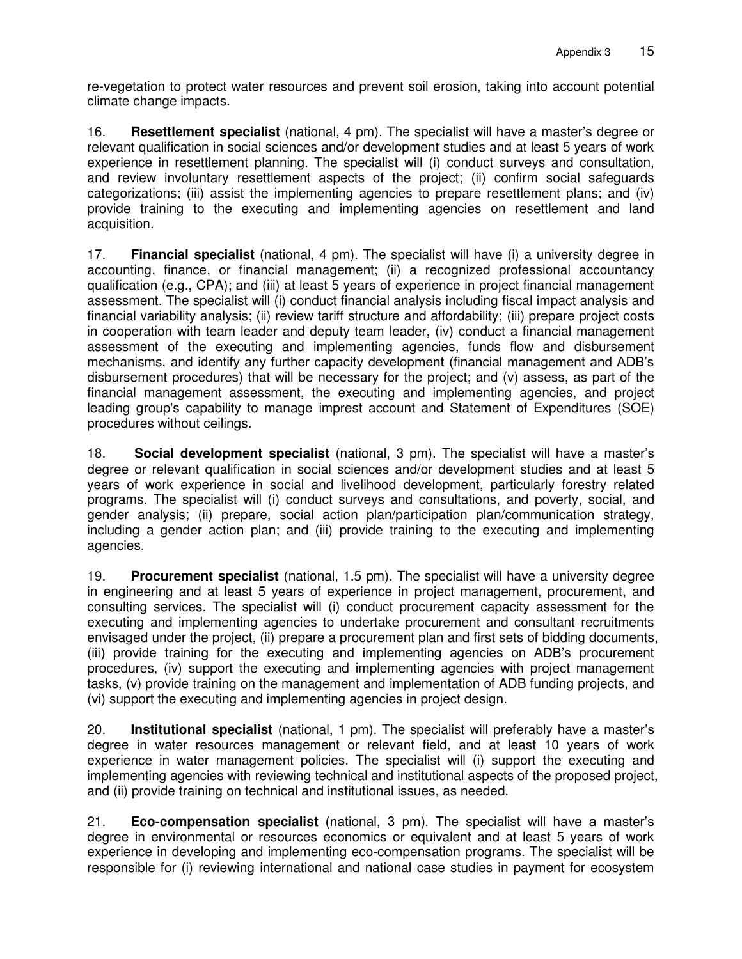re-vegetation to protect water resources and prevent soil erosion, taking into account potential climate change impacts.

16. **Resettlement specialist** (national, 4 pm). The specialist will have a master's degree or relevant qualification in social sciences and/or development studies and at least 5 years of work experience in resettlement planning. The specialist will (i) conduct surveys and consultation, and review involuntary resettlement aspects of the project; (ii) confirm social safeguards categorizations; (iii) assist the implementing agencies to prepare resettlement plans; and (iv) provide training to the executing and implementing agencies on resettlement and land acquisition.

17. **Financial specialist** (national, 4 pm). The specialist will have (i) a university degree in accounting, finance, or financial management; (ii) a recognized professional accountancy qualification (e.g., CPA); and (iii) at least 5 years of experience in project financial management assessment. The specialist will (i) conduct financial analysis including fiscal impact analysis and financial variability analysis; (ii) review tariff structure and affordability; (iii) prepare project costs in cooperation with team leader and deputy team leader, (iv) conduct a financial management assessment of the executing and implementing agencies, funds flow and disbursement mechanisms, and identify any further capacity development (financial management and ADB's disbursement procedures) that will be necessary for the project; and (v) assess, as part of the financial management assessment, the executing and implementing agencies, and project leading group's capability to manage imprest account and Statement of Expenditures (SOE) procedures without ceilings.

18. **Social development specialist** (national, 3 pm). The specialist will have a master's degree or relevant qualification in social sciences and/or development studies and at least 5 years of work experience in social and livelihood development, particularly forestry related programs. The specialist will (i) conduct surveys and consultations, and poverty, social, and gender analysis; (ii) prepare, social action plan/participation plan/communication strategy, including a gender action plan; and (iii) provide training to the executing and implementing agencies.

19. **Procurement specialist** (national, 1.5 pm). The specialist will have a university degree in engineering and at least 5 years of experience in project management, procurement, and consulting services. The specialist will (i) conduct procurement capacity assessment for the executing and implementing agencies to undertake procurement and consultant recruitments envisaged under the project, (ii) prepare a procurement plan and first sets of bidding documents, (iii) provide training for the executing and implementing agencies on ADB's procurement procedures, (iv) support the executing and implementing agencies with project management tasks, (v) provide training on the management and implementation of ADB funding projects, and (vi) support the executing and implementing agencies in project design.

20. **Institutional specialist** (national, 1 pm). The specialist will preferably have a master's degree in water resources management or relevant field, and at least 10 years of work experience in water management policies. The specialist will (i) support the executing and implementing agencies with reviewing technical and institutional aspects of the proposed project, and (ii) provide training on technical and institutional issues, as needed.

21. **Eco-compensation specialist** (national, 3 pm). The specialist will have a master's degree in environmental or resources economics or equivalent and at least 5 years of work experience in developing and implementing eco-compensation programs. The specialist will be responsible for (i) reviewing international and national case studies in payment for ecosystem